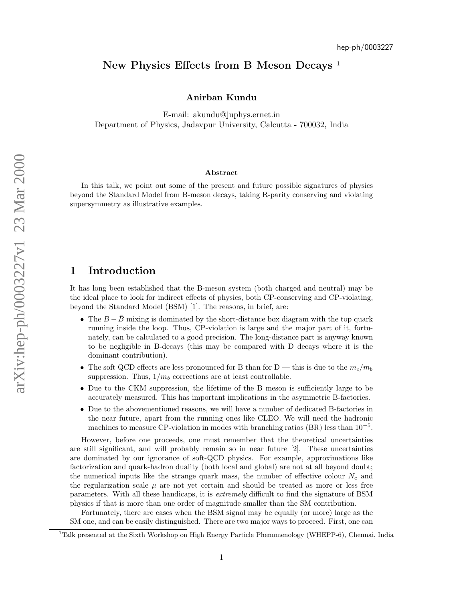# New Physics Effects from B Meson Decays<sup>1</sup>

#### Anirban Kundu

E-mail: akundu@juphys.ernet.in Department of Physics, Jadavpur University, Calcutta - 700032, India

#### Abstract

In this talk, we point out some of the present and future possible signatures of physics beyond the Standard Model from B-meson decays, taking R-parity conserving and violating supersymmetry as illustrative examples.

# 1 Introduction

It has long been established that the B-meson system (both charged and neutral) may be the ideal place to look for indirect effects of physics, both CP-conserving and CP-violating, beyond the Standard Model (BSM) [1]. The reasons, in brief, are:

- The  $B \overline{B}$  mixing is dominated by the short-distance box diagram with the top quark running inside the loop. Thus, CP-violation is large and the major part of it, fortunately, can be calculated to a good precision. The long-distance part is anyway known to be negligible in B-decays (this may be compared with D decays where it is the dominant contribution).
- The soft QCD effects are less pronounced for B than for D this is due to the  $m_c/m_b$ suppression. Thus,  $1/m_b$  corrections are at least controllable.
- Due to the CKM suppression, the lifetime of the B meson is sufficiently large to be accurately measured. This has important implications in the asymmetric B-factories.
- Due to the abovementioned reasons, we will have a number of dedicated B-factories in the near future, apart from the running ones like CLEO. We will need the hadronic machines to measure CP-violation in modes with branching ratios (BR) less than  $10^{-5}$ .

However, before one proceeds, one must remember that the theoretical uncertainties are still significant, and will probably remain so in near future [2]. These uncertainties are dominated by our ignorance of soft-QCD physics. For example, approximations like factorization and quark-hadron duality (both local and global) are not at all beyond doubt; the numerical inputs like the strange quark mass, the number of effective colour  $N_c$  and the regularization scale  $\mu$  are not yet certain and should be treated as more or less free parameters. With all these handicaps, it is extremely difficult to find the signature of BSM physics if that is more than one order of magnitude smaller than the SM contribution.

Fortunately, there are cases when the BSM signal may be equally (or more) large as the SM one, and can be easily distinguished. There are two major ways to proceed. First, one can

<sup>&</sup>lt;sup>1</sup>Talk presented at the Sixth Workshop on High Energy Particle Phenomenology (WHEPP-6), Chennai, India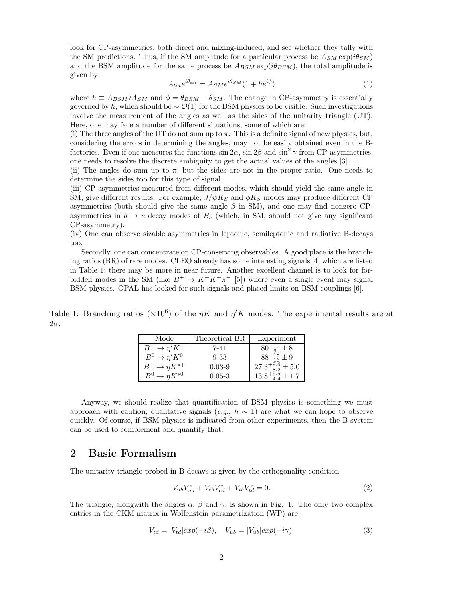look for CP-asymmetries, both direct and mixing-induced, and see whether they tally with the SM predictions. Thus, if the SM amplitude for a particular process be  $A_{SM} \exp(i\theta_{SM})$ and the BSM amplitude for the same process be  $A_{BSM}$  exp( $i\theta_{BSM}$ ), the total amplitude is given by

$$
A_{tot}e^{i\theta_{tot}} = A_{SM}e^{i\theta_{SM}}(1 + he^{i\phi})
$$
\n<sup>(1)</sup>

where  $h \equiv A_{BSM}/A_{SM}$  and  $\phi = \theta_{BSM} - \theta_{SM}$ . The change in CP-asymmetry is essentially governed by h, which should be  $\sim \mathcal{O}(1)$  for the BSM physics to be visible. Such investigations involve the measurement of the angles as well as the sides of the unitarity triangle (UT). Here, one may face a number of different situations, some of which are:

(i) The three angles of the UT do not sum up to  $\pi$ . This is a definite signal of new physics, but, considering the errors in determining the angles, may not be easily obtained even in the Bfactories. Even if one measures the functions  $\sin 2\alpha$ ,  $\sin 2\beta$  and  $\sin^2 \gamma$  from CP-asymmetries, one needs to resolve the discrete ambiguity to get the actual values of the angles [3].

(ii) The angles do sum up to  $\pi$ , but the sides are not in the proper ratio. One needs to determine the sides too for this type of signal.

(iii) CP-asymmetries measured from different modes, which should yield the same angle in SM, give different results. For example,  $J/\psi K_S$  and  $\phi K_S$  modes may produce different CP asymmetries (both should give the same angle  $\beta$  in SM), and one may find nonzero CPasymmetries in  $b \to c$  decay modes of  $B<sub>s</sub>$  (which, in SM, should not give any significant CP-asymmetry).

(iv) One can observe sizable asymmetries in leptonic, semileptonic and radiative B-decays too.

Secondly, one can concentrate on CP-conserving observables. A good place is the branching ratios (BR) of rare modes. CLEO already has some interesting signals [4] which are listed in Table 1; there may be more in near future. Another excellent channel is to look for forbidden modes in the SM (like  $B^+ \to K^+K^+\pi^-$  [5]) where even a single event may signal BSM physics. OPAL has looked for such signals and placed limits on BSM couplings [6].

Table 1: Branching ratios ( $\times 10^6$ ) of the  $\eta K$  and  $\eta' K$  modes. The experimental results are at  $2\sigma$ .

| Mode                                         | Theoretical BR | Experiment                        |
|----------------------------------------------|----------------|-----------------------------------|
| $\rightarrow$ $\eta' K^+$                    | 7-41           | $+8$                              |
| $B^0 \to \eta' K^0$                          | $9 - 33$       | $+9$                              |
| $\rightarrow$ $\eta K^{*+}$                  | $0.03 - 9$     | $27.3^{+9.6}_{-8.9}$<br>$\pm 5.0$ |
| $\rightarrow nK^{*0}$<br>$\rm\mathbf{D}^{0}$ | $0.05 - 3$     |                                   |

Anyway, we should realize that quantification of BSM physics is something we must approach with caution; qualitative signals  $(e.q., h \sim 1)$  are what we can hope to observe quickly. Of course, if BSM physics is indicated from other experiments, then the B-system can be used to complement and quantify that.

### 2 Basic Formalism

The unitarity triangle probed in B-decays is given by the orthogonality condition

$$
V_{ub}V_{ud}^* + V_{cb}V_{cd}^* + V_{tb}V_{td}^* = 0.
$$
\n(2)

The triangle, alongwith the angles  $\alpha$ ,  $\beta$  and  $\gamma$ , is shown in Fig. 1. The only two complex entries in the CKM matrix in Wolfenstein parametrization (WP) are

$$
V_{td} = |V_{td}| exp(-i\beta), \quad V_{ub} = |V_{ub}| exp(-i\gamma).
$$
\n(3)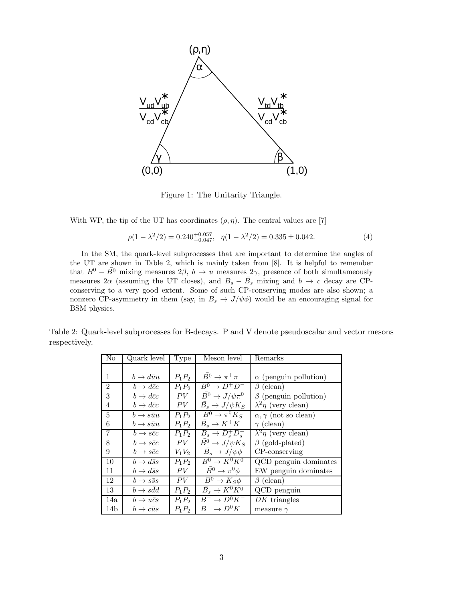

Figure 1: The Unitarity Triangle.

With WP, the tip of the UT has coordinates  $(\rho, \eta)$ . The central values are [7]

$$
\rho(1 - \lambda^2/2) = 0.240^{+0.057}_{-0.047}, \quad \eta(1 - \lambda^2/2) = 0.335 \pm 0.042. \tag{4}
$$

In the SM, the quark-level subprocesses that are important to determine the angles of the UT are shown in Table 2, which is mainly taken from [8]. It is helpful to remember that  $B^0 - \overline{B^0}$  mixing measures  $2\beta$ ,  $b \to u$  measures  $2\gamma$ , presence of both simultameously measures 2 $\alpha$  (assuming the UT closes), and  $B_s - \bar{B_s}$  mixing and  $b \to c$  decay are CPconserving to a very good extent. Some of such CP-conserving modes are also shown; a nonzero CP-asymmetry in them (say, in  $B_s \to J/\psi \phi$ ) would be an encouraging signal for BSM physics.

| Table 2: Quark-level subprocesses for B-decays. P and V denote pseudoscalar and vector mesons |  |
|-----------------------------------------------------------------------------------------------|--|
| respectively.                                                                                 |  |

| N <sub>o</sub>  | Quark level               | Type     | Meson level                          | Remarks                         |
|-----------------|---------------------------|----------|--------------------------------------|---------------------------------|
|                 |                           |          |                                      |                                 |
| 1               | $b \rightarrow d\bar{u}u$ | $P_1P_2$ | $\overline{B^0} \to \pi^+ \pi^-$     | $\alpha$ (penguin pollution)    |
| $\overline{2}$  | $b \rightarrow d\bar{c}c$ | $P_1P_2$ | $B^0 \rightarrow D^+D^-$             | $\beta$ (clean)                 |
| 3               | $b \rightarrow d\bar{c}c$ | PV       | $\overline{B^0} \to J/\psi \pi^0$    | $\beta$ (penguin pollution)     |
| 4               | $b \to d\bar{c}c$         | PV       | $\bar{B_s} \rightarrow J/\psi K_S$   | $\lambda^2 \eta$ (very clean)   |
| 5               | $b \rightarrow s\bar{u}u$ | $P_1P_2$ | $\overline{B^0 \to \pi^0} K_S$       | $\alpha, \gamma$ (not so clean) |
| 6               | $b\to s\bar{u}u$          | $P_1P_2$ | $\overline{B}_s \to K^+K^-$          | $\gamma$ (clean)                |
| $\overline{7}$  | $b \rightarrow s\bar{c}c$ | $P_1P_2$ | $\overline{B}_s \to D_s^+ D_s^-$     | $\lambda^2 \eta$ (very clean)   |
| 8               | $b \rightarrow s\bar{c}c$ | PV       | $\bar{B}^0 \to J/\psi K_S$           | $\beta$ (gold-plated)           |
| 9               | $b \rightarrow s\bar{c}c$ | $V_1V_2$ | $\overline{B}_s \to J/\psi \phi$     | $CP$ -conserving                |
| 10              | $b \rightarrow d\bar{s}s$ | $P_1P_2$ | $B^0 \rightarrow K^0 \overline{K^0}$ | QCD penguin dominates           |
| 11              | $b \to d\bar{s}s$         | PV       | $\bar{B^0} \to \pi^0 \phi$           | EW penguin dominates            |
| 12              | $b \rightarrow s\bar{s}s$ | PV       | $B^0 \to K_S \phi$                   | (clean)<br>$\beta$              |
| 13              | $b \rightarrow sdd$       | $P_1P_2$ | $\overline{B}_s \to K^0 K^0$         | QCD penguin                     |
| 14a             | $b \rightarrow u\bar{c}s$ | $P_1P_2$ | $B^- \rightarrow D^0 K^-$            | $DK$ triangles                  |
| 14 <sub>b</sub> | $b \rightarrow c\bar{u}s$ | $P_1P_2$ | $B^- \to D^0 K^-$                    | measure $\gamma$                |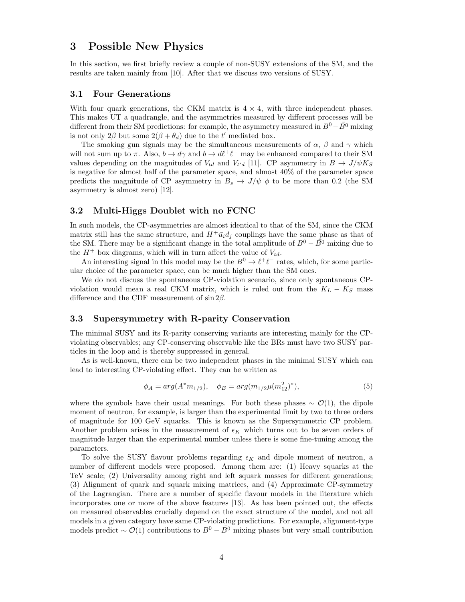## 3 Possible New Physics

In this section, we first briefly review a couple of non-SUSY extensions of the SM, and the results are taken mainly from [10]. After that we discuss two versions of SUSY.

#### 3.1 Four Generations

With four quark generations, the CKM matrix is  $4 \times 4$ , with three independent phases. This makes UT a quadrangle, and the asymmetries measured by different processes will be different from their SM predictions: for example, the asymmetry measured in  $B^0 - B^0$  mixing is not only  $2\beta$  but some  $2(\beta + \theta_d)$  due to the t' mediated box.

The smoking gun signals may be the simultaneous measurements of  $\alpha$ ,  $\beta$  and  $\gamma$  which will not sum up to  $\pi$ . Also,  $b \to d\gamma$  and  $b \to d\ell^+\ell^-$  may be enhanced compared to their SM values depending on the magnitudes of  $V_{td}$  and  $V_{t'd}$  [11]. CP asymmetry in  $B \to J/\psi K_S$ is negative for almost half of the parameter space, and almost 40% of the parameter space predicts the magnitude of CP asymmetry in  $B_s \to J/\psi \phi$  to be more than 0.2 (the SM asymmetry is almost zero) [12].

#### 3.2 Multi-Higgs Doublet with no FCNC

In such models, the CP-asymmetries are almost identical to that of the SM, since the CKM matrix still has the same structure, and  $H^+ \bar{u}_i d_i$  couplings have the same phase as that of the SM. There may be a significant change in the total amplitude of  $B^0 - B^0$  mixing due to the  $H^+$  box diagrams, which will in turn affect the value of  $V_{td}$ .

An interesting signal in this model may be the  $B^0 \to \ell^+ \ell^-$  rates, which, for some particular choice of the parameter space, can be much higher than the SM ones.

We do not discuss the spontaneous CP-violation scenario, since only spontaneous CPviolation would mean a real CKM matrix, which is ruled out from the  $K_L - K_S$  mass difference and the CDF measurement of  $\sin 2\beta$ .

#### 3.3 Supersymmetry with R-parity Conservation

The minimal SUSY and its R-parity conserving variants are interesting mainly for the CPviolating observables; any CP-conserving observable like the BRs must have two SUSY particles in the loop and is thereby suppressed in general.

As is well-known, there can be two independent phases in the minimal SUSY which can lead to interesting CP-violating effect. They can be written as

$$
\phi_A = arg(A^*m_{1/2}), \quad \phi_B = arg(m_{1/2}\mu(m_{12}^2)^*), \tag{5}
$$

where the symbols have their usual meanings. For both these phases  $\sim \mathcal{O}(1)$ , the dipole moment of neutron, for example, is larger than the experimental limit by two to three orders of magnitude for 100 GeV squarks. This is known as the Supersymmetric CP problem. Another problem arises in the measurement of  $\epsilon_K$  which turns out to be seven orders of magnitude larger than the experimental number unless there is some fine-tuning among the parameters.

To solve the SUSY flavour problems regarding  $\epsilon_K$  and dipole moment of neutron, a number of different models were proposed. Among them are: (1) Heavy squarks at the TeV scale; (2) Universality among right and left squark masses for different generations; (3) Alignment of quark and squark mixing matrices, and (4) Approximate CP-symmetry of the Lagrangian. There are a number of specific flavour models in the literature which incorporates one or more of the above features [13]. As has been pointed out, the effects on measured observables crucially depend on the exact structure of the model, and not all models in a given category have same CP-violating predictions. For example, alignment-type models predict  $\sim \mathcal{O}(1)$  contributions to  $B^0 - \overline{B^0}$  mixing phases but very small contribution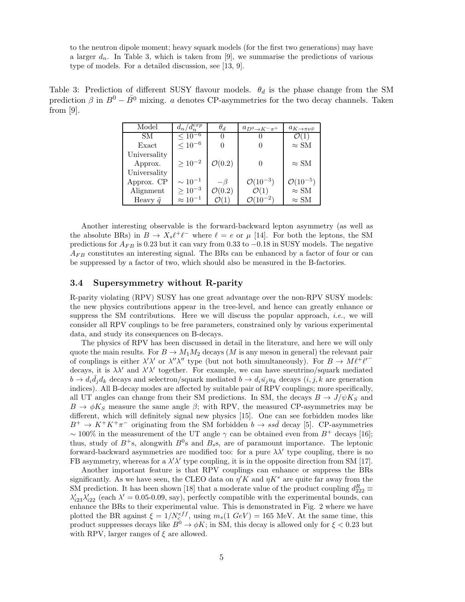to the neutron dipole moment; heavy squark models (for the first two generations) may have a larger  $d_n$ . In Table 3, which is taken from [9], we summarise the predictions of various type of models. For a detailed discussion, see [13, 9].

Table 3: Prediction of different SUSY flavour models.  $\theta_d$  is the phase change from the SM prediction  $\beta$  in  $B^0 - \overline{B^0}$  mixing. a denotes CP-asymmetries for the two decay channels. Taken from [9].

| Model             | $d_n/d_n^{exp}$   | $\theta_d$         | $a_{D^0\to K^-\pi^+}$  | $a_{K\to\pi\nu\bar{\nu}}$ |
|-------------------|-------------------|--------------------|------------------------|---------------------------|
| SМ                | $\leq 10^{-6}$    |                    |                        |                           |
| Exact             | $< 10^{-6}$       |                    |                        | $\approx SM$              |
| Universality      |                   |                    |                        |                           |
| Approx.           | $\geq 10^{-2}$    | $\mathcal{O}(0.2)$ |                        | $\approx SM$              |
| Universality      |                   |                    |                        |                           |
| Approx. CP        | $\sim 10^{-1}$    | — 13               | $\mathcal{O}(10^{-3})$ | $O(10^{-5})$              |
| Alignment         | $\geq 10^{-3}$    | $\mathcal{O}(0.2)$ | $\mathcal{O}(1)$       | $\approx SM$              |
| Heavy $\tilde{q}$ | $\approx 10^{-1}$ |                    |                        | $\approx SM$              |

Another interesting observable is the forward-backward lepton asymmetry (as well as the absolute BRs) in  $B \to X_s \ell^+ \ell^-$  where  $\ell = e$  or  $\mu$  [14]. For both the leptons, the SM predictions for  $A_{FB}$  is 0.23 but it can vary from 0.33 to  $-0.18$  in SUSY models. The negative  $A_{FB}$  constitutes an interesting signal. The BRs can be enhanced by a factor of four or can be suppressed by a factor of two, which should also be measured in the B-factories.

#### 3.4 Supersymmetry without R-parity

R-parity violating (RPV) SUSY has one great advantage over the non-RPV SUSY models: the new physics contributions appear in the tree-level, and hence can greatly enhance or suppress the SM contributions. Here we will discuss the popular approach, *i.e.*, we will consider all RPV couplings to be free parameters, constrained only by various experimental data, and study its consequences on B-decays.

The physics of RPV has been discussed in detail in the literature, and here we will only quote the main results. For  $B \to M_1M_2$  decays (M is any meson in general) the relevant pair of couplings is either  $\lambda' \lambda'$  or  $\lambda'' \lambda''$  type (but not both simultaneously). For  $B \to M \ell^+ \ell'^$ decays, it is  $\lambda \lambda'$  and  $\lambda' \lambda'$  together. For example, we can have sneutrino/squark mediated  $b \to d_i \bar{d}_j d_k$  decays and selectron/squark mediated  $b \to d_i \bar{u}_j u_k$  decays  $(i, j, k$  are generation indices). All B-decay modes are affected by suitable pair of RPV couplings; more specifically, all UT angles can change from their SM predictions. In SM, the decays  $B \to J/\psi K_S$  and  $B \to \phi K_S$  measure the same angle  $\beta$ ; with RPV, the measured CP-asymmetries may be different, which will definitely signal new physics [15]. One can see forbidden modes like  $B^+ \to K^+K^+\pi^-$  originating from the SM forbidden  $b \to ss\bar{d}$  decay [5]. CP-asymmetries ~ 100% in the measurement of the UT angle  $\gamma$  can be obtained even from  $B^+$  decays [16]; thus, study of  $B^+$ s, alongwith  $B^0$ s and  $B_s$ s, are of paramount importance. The leptonic forward-backward asymmetries are modified too: for a pure  $\lambda \lambda'$  type coupling, there is no FB asymmetry, whereas for a  $\lambda' \lambda'$  type coupling, it is in the opposite direction from SM [17].

Another important feature is that RPV couplings can enhance or suppress the BRs significantly. As we have seen, the CLEO data on  $\eta' K$  and  $\eta K^*$  are quite far away from the SM prediction. It has been shown [18] that a moderate value of the product coupling  $d_{222}^R \equiv$  $\lambda'_{23}\lambda'_{22}$  (each  $\lambda' = 0.05$ -0.09, say), perfectly compatible with the experimental bounds, can enhance the BRs to their experimental value. This is demonstrated in Fig. 2 where we have plotted the BR against  $\xi = 1/N_c^{eff}$ , using  $m_s(1 \text{ GeV}) = 165 \text{ MeV}$ . At the same time, this product suppresses decays like  $B^0 \to \phi K$ ; in SM, this decay is allowed only for  $\xi < 0.23$  but with RPV, larger ranges of  $\xi$  are allowed.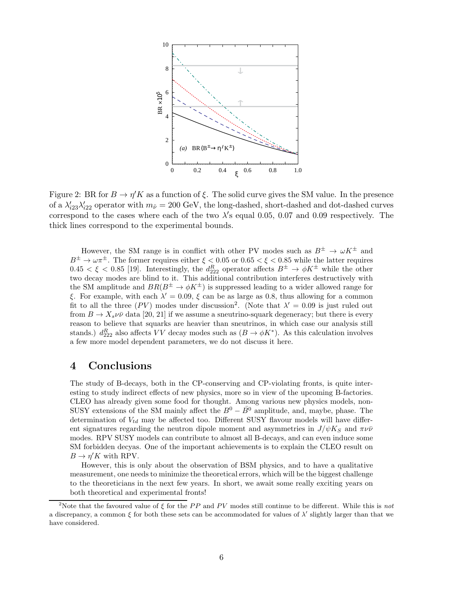

Figure 2: BR for  $B \to \eta' K$  as a function of  $\xi$ . The solid curve gives the SM value. In the presence of a  $\lambda'_{i23}\lambda'_{i22}$  operator with  $m_{\tilde{\nu}} = 200 \text{ GeV}$ , the long-dashed, short-dashed and dot-dashed curves correspond to the cases where each of the two  $\lambda$ 's equal 0.05, 0.07 and 0.09 respectively. The thick lines correspond to the experimental bounds.

However, the SM range is in conflict with other PV modes such as  $B^{\pm} \to \omega K^{\pm}$  and  $B^{\pm} \to \omega \pi^{\pm}$ . The former requires either  $\xi < 0.05$  or  $0.65 < \xi < 0.85$  while the latter requires  $0.45 < \xi < 0.85$  [19]. Interestingly, the  $d_{222}^R$  operator affects  $B^{\pm} \to \phi K^{\pm}$  while the other two decay modes are blind to it. This additional contribution interferes destructively with the SM amplitude and  $BR(B^{\pm} \to \phi K^{\pm})$  is suppressed leading to a wider allowed range for ξ. For example, with each  $\lambda' = 0.09$ , ξ can be as large as 0.8, thus allowing for a common fit to all the three (PV) modes under discussion<sup>2</sup>. (Note that  $\lambda' = 0.09$  is just ruled out from  $B \to X_s \nu \bar{\nu}$  data [20, 21] if we assume a sneutrino-squark degeneracy; but there is every reason to believe that squarks are heavier than sneutrinos, in which case our analysis still stands.)  $d_{222}^R$  also affects VV decay modes such as  $(B \to \phi K^*)$ . As this calculation involves a few more model dependent parameters, we do not discuss it here.

# 4 Conclusions

The study of B-decays, both in the CP-conserving and CP-violating fronts, is quite interesting to study indirect effects of new physics, more so in view of the upcoming B-factories. CLEO has already given some food for thought. Among various new physics models, non-SUSY extensions of the SM mainly affect the  $B^0 - \bar{B^0}$  amplitude, and, maybe, phase. The determination of  $V_{td}$  may be affected too. Different SUSY flavour models will have different signatures regarding the neutron dipole moment and asymmetries in  $J/\psi K_S$  and  $\pi \nu \bar{\nu}$ modes. RPV SUSY models can contribute to almost all B-decays, and can even induce some SM forbidden decyas. One of the important achievements is to explain the CLEO result on  $B \to \eta' K$  with RPV.

However, this is only about the observation of BSM physics, and to have a qualitative measurement, one needs to minimize the theoretical errors, which will be the biggest challenge to the theoreticians in the next few years. In short, we await some really exciting years on both theoretical and experimental fronts!

<sup>&</sup>lt;sup>2</sup>Note that the favoured value of  $\xi$  for the PP and PV modes still continue to be different. While this is not a discrepancy, a common  $\xi$  for both these sets can be accommodated for values of  $\lambda'$  slightly larger than that we have considered.